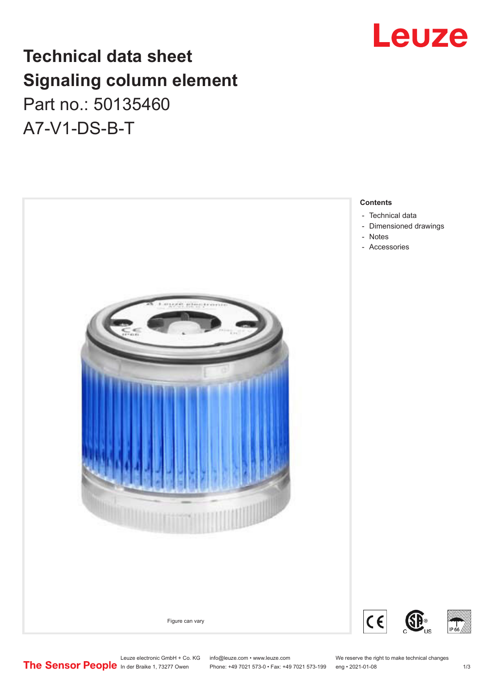## Leuze

## **Technical data sheet Signaling column element** Part no.: 50135460

A7-V1-DS-B-T



Leuze electronic GmbH + Co. KG info@leuze.com • www.leuze.com We reserve the right to make technical changes<br>
The Sensor People in der Braike 1, 73277 Owen Phone: +49 7021 573-0 • Fax: +49 7021 573-199 eng • 2021-01-08

Phone: +49 7021 573-0 • Fax: +49 7021 573-199 eng • 2021-01-08 1/3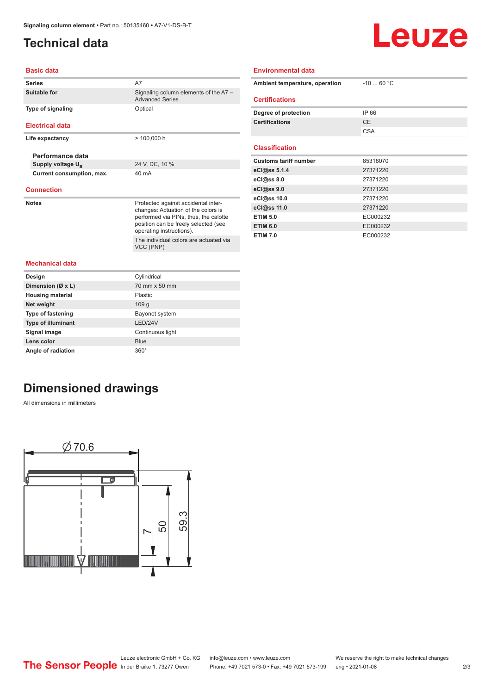## <span id="page-1-0"></span>**Technical data**

# Leuze

#### **Basic data**

| <b>Series</b>                 | A7                                                                           |  |  |
|-------------------------------|------------------------------------------------------------------------------|--|--|
| Suitable for                  | Signaling column elements of the A7 -<br><b>Advanced Series</b>              |  |  |
| Type of signaling             | Optical                                                                      |  |  |
|                               |                                                                              |  |  |
| <b>Electrical data</b>        |                                                                              |  |  |
| Life expectancy               | $> 100,000$ h                                                                |  |  |
|                               |                                                                              |  |  |
| Performance data              |                                                                              |  |  |
| Supply voltage U <sub>B</sub> | 24 V, DC, 10 %                                                               |  |  |
| Current consumption, max.     | 40 mA                                                                        |  |  |
| <b>Connection</b>             |                                                                              |  |  |
|                               |                                                                              |  |  |
| <b>Notes</b>                  | Protected against accidental inter-                                          |  |  |
|                               | changes: Actuation of the colors is<br>performed via PINs, thus, the calotte |  |  |
|                               | position can be freely selected (see                                         |  |  |
|                               | operating instructions).                                                     |  |  |
|                               | The individual colors are actuated via                                       |  |  |
|                               | VCC (PNP)                                                                    |  |  |
| <b>Mechanical data</b>        |                                                                              |  |  |
| Design                        | Cylindrical                                                                  |  |  |
| Dimension (Ø x L)             | 70 mm x 50 mm                                                                |  |  |
| <b>Housing material</b>       | Plastic                                                                      |  |  |
| Net weight                    | 109 <sub>g</sub>                                                             |  |  |
| <b>Type of fastening</b>      | Bayonet system                                                               |  |  |
| <b>Type of illuminant</b>     | IFD/24V                                                                      |  |  |
| Signal image                  | Continuous light                                                             |  |  |
| Lens color                    | Blue                                                                         |  |  |

| Ambient temperature, operation | $-1060 °C$ |
|--------------------------------|------------|
| <b>Certifications</b>          |            |
| Degree of protection           | IP 66      |
| <b>Certifications</b>          | CE.        |
|                                | <b>CSA</b> |
|                                |            |
| <b>Classification</b>          |            |
| <b>Customs tariff number</b>   | 85318070   |
| eCl@ss 5.1.4                   | 27371220   |
| eCl@ss 8.0                     | 27371220   |
| eCl@ss 9.0                     | 27371220   |
| eCl@ss 10.0                    | 27371220   |
| eCl@ss 11.0                    | 27371220   |
| <b>ETIM 5.0</b>                | EC000232   |
| <b>ETIM 6.0</b>                | EC000232   |
| <b>ETIM 7.0</b>                | EC000232   |

**Environmental data**

**Angle of radiation** 360°

## **Dimensioned drawings**

All dimensions in millimeters